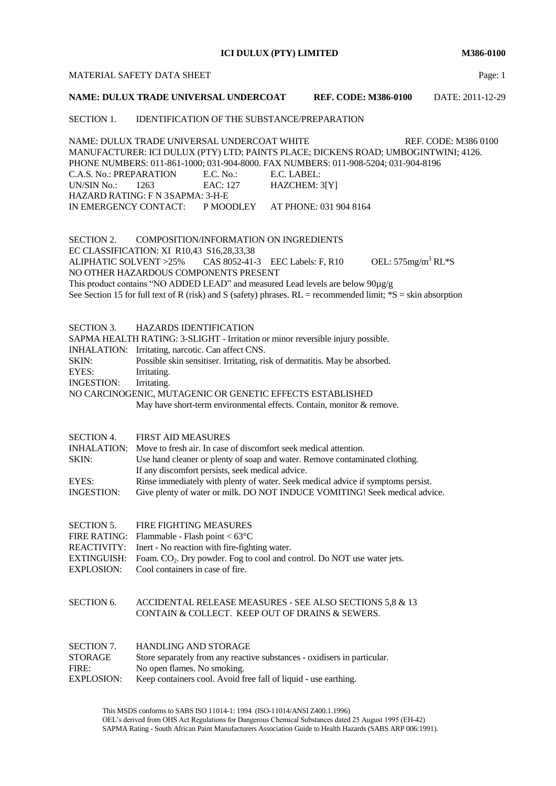**ICI DULUX (PTY) LIMITED M386-0100**

## MATERIAL SAFETY DATA SHEET **Page:** 1

# **NAME: DULUX TRADE UNIVERSAL UNDERCOAT REF. CODE: M386-0100** DATE: 2011-12-29

# SECTION 1. IDENTIFICATION OF THE SUBSTANCE/PREPARATION

NAME: DULUX TRADE UNIVERSAL UNDERCOAT WHITE REF. CODE: M386 0100 MANUFACTURER: ICI DULUX (PTY) LTD; PAINTS PLACE; DICKENS ROAD; UMBOGINTWINI; 4126. PHONE NUMBERS: 011-861-1000; 031-904-8000. FAX NUMBERS: 011-908-5204; 031-904-8196 C.A.S. No.: PREPARATION E.C. No.: E.C. LABEL: UN/SIN No.: 1263 EAC: 127 HAZCHEM: 3[Y] HAZARD RATING: F N 3SAPMA: 3-H-E IN EMERGENCY CONTACT: P MOODLEY AT PHONE: 031 904 8164

SECTION 2. COMPOSITION/INFORMATION ON INGREDIENTS EC CLASSIFICATION: XI R10,43 S16,28,33,38 ALIPHATIC SOLVENT >25% CAS 8052-41-3 EEC Labels: F, R10 OEL: 575mg/m<sup>3</sup> RL\*S NO OTHER HAZARDOUS COMPONENTS PRESENT This product contains "NO ADDED LEAD" and measured Lead levels are below 90µg/g See Section 15 for full text of R (risk) and S (safety) phrases.  $RL =$  recommended limit;  $*S =$  skin absorption

| SECTION 3.        | <b>HAZARDS IDENTIFICATION</b>                                                    |  |  |  |  |
|-------------------|----------------------------------------------------------------------------------|--|--|--|--|
|                   | SAPMA HEALTH RATING: 3-SLIGHT - Irritation or minor reversible injury possible.  |  |  |  |  |
|                   | <b>INHALATION:</b> Irritating, narcotic. Can affect CNS.                         |  |  |  |  |
| SKIN:             | Possible skin sensitiser. Irritating, risk of dermatitis. May be absorbed.       |  |  |  |  |
| EYES:             | Irritating.                                                                      |  |  |  |  |
| INGESTION:        | Irritating.                                                                      |  |  |  |  |
|                   | NO CARCINOGENIC, MUTAGENIC OR GENETIC EFFECTS ESTABLISHED                        |  |  |  |  |
|                   | May have short-term environmental effects. Contain, monitor & remove.            |  |  |  |  |
|                   |                                                                                  |  |  |  |  |
| <b>SECTION 4.</b> | <b>FIRST AID MEASURES</b>                                                        |  |  |  |  |
|                   | INHALATION: Move to fresh air. In case of discomfort seek medical attention.     |  |  |  |  |
| SKIN:             | Use hand cleaner or plenty of soap and water. Remove contaminated clothing.      |  |  |  |  |
|                   | If any discomfort persists, seek medical advice.                                 |  |  |  |  |
| EYES:             | Rinse immediately with plenty of water. Seek medical advice if symptoms persist. |  |  |  |  |
| <b>INGESTION:</b> | Give plenty of water or milk. DO NOT INDUCE VOMITING! Seek medical advice.       |  |  |  |  |
|                   |                                                                                  |  |  |  |  |
| <b>SECTION 5.</b> | <b>FIRE FIGHTING MEASURES</b>                                                    |  |  |  |  |

| FIRE RATING: Flammable - Flash point $< 63^{\circ}$ C                                   |
|-----------------------------------------------------------------------------------------|
| REACTIVITY: Inert - No reaction with fire-fighting water.                               |
| $EXTINGUISH:$ Foam. $CO2$ . Dry powder. Fog to cool and control. Do NOT use water jets. |
| EXPLOSION: Cool containers in case of fire.                                             |
|                                                                                         |

SECTION 6. ACCIDENTAL RELEASE MEASURES - SEE ALSO SECTIONS 5,8 & 13 CONTAIN & COLLECT. KEEP OUT OF DRAINS & SEWERS.

| SECTION 7.        | <b>HANDLING AND STORAGE</b>                                              |
|-------------------|--------------------------------------------------------------------------|
| <b>STORAGE</b>    | Store separately from any reactive substances - oxidisers in particular. |
| FIRE:             | No open flames. No smoking.                                              |
| <b>EXPLOSION:</b> | Keep containers cool. Avoid free fall of liquid - use earthing.          |